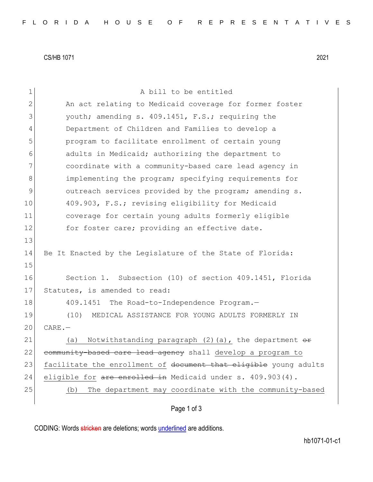CS/HB 1071 2021

| 1             | A bill to be entitled                                                  |
|---------------|------------------------------------------------------------------------|
| 2             | An act relating to Medicaid coverage for former foster                 |
| 3             | youth; amending s. 409.1451, F.S.; requiring the                       |
| 4             | Department of Children and Families to develop a                       |
| 5             | program to facilitate enrollment of certain young                      |
| 6             | adults in Medicaid; authorizing the department to                      |
| 7             | coordinate with a community-based care lead agency in                  |
| 8             | implementing the program; specifying requirements for                  |
| $\mathcal{G}$ | outreach services provided by the program; amending s.                 |
| 10            | 409.903, F.S.; revising eligibility for Medicaid                       |
| 11            | coverage for certain young adults formerly eligible                    |
| 12            | for foster care; providing an effective date.                          |
| 13            |                                                                        |
| 14            | Be It Enacted by the Legislature of the State of Florida:              |
| 15            |                                                                        |
| 16            | Section 1. Subsection (10) of section 409.1451, Florida                |
| 17            | Statutes, is amended to read:                                          |
| 18            | 409.1451<br>The Road-to-Independence Program.-                         |
| 19            | (10)<br>MEDICAL ASSISTANCE FOR YOUNG ADULTS FORMERLY IN                |
| 20            | $CARE$ . $-$                                                           |
| 21            | Notwithstanding paragraph $(2)$ (a), the department $\theta$ ff<br>(a) |
| 22            | community-based care lead agency shall develop a program to            |
| 23            | facilitate the enrollment of document that eligible young adults       |
| 24            | eligible for are enrolled in Medicaid under s. 409.903(4).             |
| 25            | The department may coordinate with the community-based<br>(b)          |
|               |                                                                        |

Page 1 of 3

CODING: Words stricken are deletions; words underlined are additions.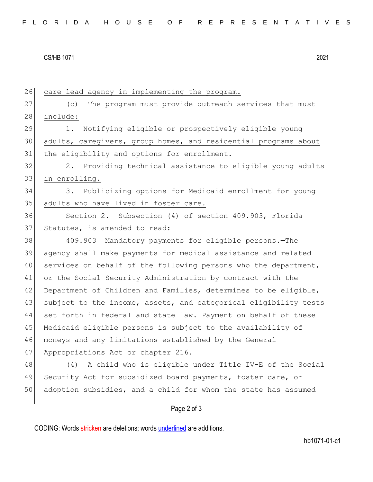CS/HB 1071 2021

26 care lead agency in implementing the program. 27 (c) The program must provide outreach services that must 28 include: 29 1. Notifying eligible or prospectively eligible young 30 adults, caregivers, group homes, and residential programs about 31 the eligibility and options for enrollment.  $32$   $2.$  Providing technical assistance to eligible young adults 33 in enrolling. 34 3. Publicizing options for Medicaid enrollment for young 35 adults who have lived in foster care. 36 Section 2. Subsection (4) of section 409.903, Florida 37 Statutes, is amended to read: 38 409.903 Mandatory payments for eligible persons.—The 39 agency shall make payments for medical assistance and related 40 services on behalf of the following persons who the department, 41 or the Social Security Administration by contract with the 42 Department of Children and Families, determines to be eligible, 43 subject to the income, assets, and categorical eligibility tests 44 set forth in federal and state law. Payment on behalf of these 45 Medicaid eligible persons is subject to the availability of 46 moneys and any limitations established by the General 47 Appropriations Act or chapter 216. 48 (4) A child who is eligible under Title IV-E of the Social 49 Security Act for subsidized board payments, foster care, or 50 adoption subsidies, and a child for whom the state has assumed

Page 2 of 3

CODING: Words stricken are deletions; words underlined are additions.